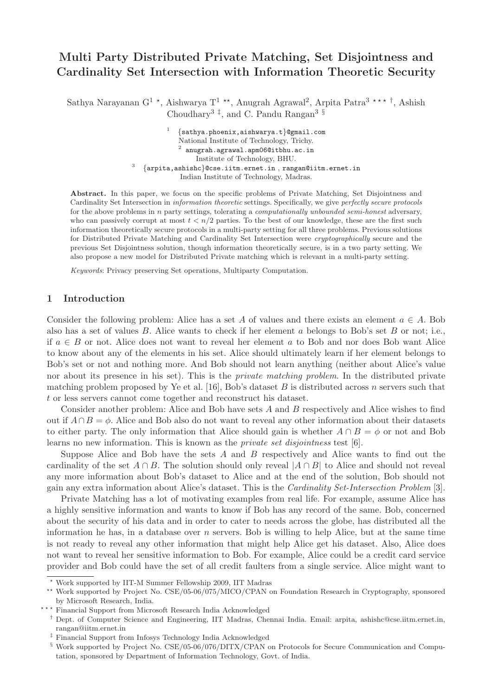# Multi Party Distributed Private Matching, Set Disjointness and Cardinality Set Intersection with Information Theoretic Security

Sathya Narayanan G<sup>1</sup> \*, Aishwarya T<sup>1</sup> \*\*, Anugrah Agrawal<sup>2</sup>, Arpita Patra<sup>3 \*\*\*†</sup>, Ashish Choudhary<sup>3  $\ddagger$ </sup>, and C. Pandu Rangan<sup>3 §</sup>

> 1 {sathya.phoenix,aishwarya.t}@gmail.com National Institute of Technology, Trichy.  $^2$  anugrah.agrawal.apm $06$ @itbhu.ac.in Institute of Technology, BHU. {arpita,ashishc}@cse.iitm.ernet.in , rangan@iitm.ernet.in Indian Institute of Technology, Madras.

Abstract. In this paper, we focus on the specific problems of Private Matching, Set Disjointness and Cardinality Set Intersection in information theoretic settings. Specifically, we give perfectly secure protocols for the above problems in n party settings, tolerating a *computationally unbounded semi-honest* adversary, who can passively corrupt at most  $t < n/2$  parties. To the best of our knowledge, these are the first such information theoretically secure protocols in a multi-party setting for all three problems. Previous solutions for Distributed Private Matching and Cardinality Set Intersection were *cryptographically* secure and the previous Set Disjointness solution, though information theoretically secure, is in a two party setting. We also propose a new model for Distributed Private matching which is relevant in a multi-party setting.

Keywords: Privacy preserving Set operations, Multiparty Computation.

### 1 Introduction

3

Consider the following problem: Alice has a set A of values and there exists an element  $a \in A$ . Bob also has a set of values B. Alice wants to check if her element a belongs to Bob's set B or not; i.e., if  $a \in B$  or not. Alice does not want to reveal her element a to Bob and nor does Bob want Alice to know about any of the elements in his set. Alice should ultimately learn if her element belongs to Bob's set or not and nothing more. And Bob should not learn anything (neither about Alice's value nor about its presence in his set). This is the *private matching problem*. In the distributed private matching problem proposed by Ye et al. [16], Bob's dataset B is distributed across n servers such that t or less servers cannot come together and reconstruct his dataset.

Consider another problem: Alice and Bob have sets A and B respectively and Alice wishes to find out if  $A \cap B = \phi$ . Alice and Bob also do not want to reveal any other information about their datasets to either party. The only information that Alice should gain is whether  $A \cap B = \phi$  or not and Bob learns no new information. This is known as the private set disjointness test [6].

Suppose Alice and Bob have the sets  $A$  and  $B$  respectively and Alice wants to find out the cardinality of the set  $A \cap B$ . The solution should only reveal  $|A \cap B|$  to Alice and should not reveal any more information about Bob's dataset to Alice and at the end of the solution, Bob should not gain any extra information about Alice's dataset. This is the Cardinality Set-Intersection Problem [3].

Private Matching has a lot of motivating examples from real life. For example, assume Alice has a highly sensitive information and wants to know if Bob has any record of the same. Bob, concerned about the security of his data and in order to cater to needs across the globe, has distributed all the information he has, in a database over  $n$  servers. Bob is willing to help Alice, but at the same time is not ready to reveal any other information that might help Alice get his dataset. Also, Alice does not want to reveal her sensitive information to Bob. For example, Alice could be a credit card service provider and Bob could have the set of all credit faulters from a single service. Alice might want to

<sup>⋆</sup> Work supported by IIT-M Summer Fellowship 2009, IIT Madras

<sup>⋆⋆</sup> Work supported by Project No. CSE/05-06/075/MICO/CPAN on Foundation Research in Cryptography, sponsored by Microsoft Research, India.

<sup>\*\*\*</sup> Financial Support from Microsoft Research India Acknowledged

<sup>†</sup> Dept. of Computer Science and Engineering, IIT Madras, Chennai India. Email: arpita, ashishc@cse.iitm.ernet.in, rangan@iitm.ernet.in

<sup>‡</sup> Financial Support from Infosys Technology India Acknowledged

<sup>§</sup> Work supported by Project No. CSE/05-06/076/DITX/CPAN on Protocols for Secure Communication and Computation, sponsored by Department of Information Technology, Govt. of India.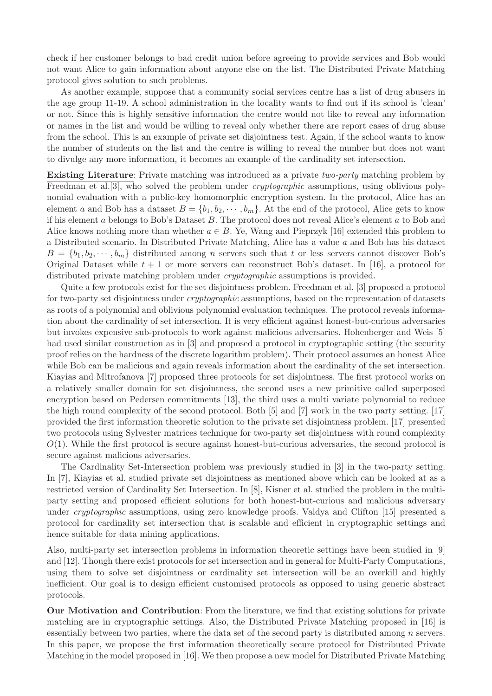check if her customer belongs to bad credit union before agreeing to provide services and Bob would not want Alice to gain information about anyone else on the list. The Distributed Private Matching protocol gives solution to such problems.

As another example, suppose that a community social services centre has a list of drug abusers in the age group 11-19. A school administration in the locality wants to find out if its school is 'clean' or not. Since this is highly sensitive information the centre would not like to reveal any information or names in the list and would be willing to reveal only whether there are report cases of drug abuse from the school. This is an example of private set disjointness test. Again, if the school wants to know the number of students on the list and the centre is willing to reveal the number but does not want to divulge any more information, it becomes an example of the cardinality set intersection.

Existing Literature: Private matching was introduced as a private two-party matching problem by Freedman et al. [3], who solved the problem under *cryptographic* assumptions, using oblivious polynomial evaluation with a public-key homomorphic encryption system. In the protocol, Alice has an element a and Bob has a dataset  $B = \{b_1, b_2, \dots, b_m\}$ . At the end of the protocol, Alice gets to know if his element a belongs to Bob's Dataset B. The protocol does not reveal Alice's element a to Bob and Alice knows nothing more than whether  $a \in B$ . Ye, Wang and Pieprzyk [16] extended this problem to a Distributed scenario. In Distributed Private Matching, Alice has a value a and Bob has his dataset  $B = \{b_1, b_2, \dots, b_m\}$  distributed among *n* servers such that *t* or less servers cannot discover Bob's Original Dataset while  $t + 1$  or more servers can reconstruct Bob's dataset. In [16], a protocol for distributed private matching problem under cryptographic assumptions is provided.

Quite a few protocols exist for the set disjointness problem. Freedman et al. [3] proposed a protocol for two-party set disjointness under *cryptographic* assumptions, based on the representation of datasets as roots of a polynomial and oblivious polynomial evaluation techniques. The protocol reveals information about the cardinality of set intersection. It is very efficient against honest-but-curious adversaries but invokes expensive sub-protocols to work against malicious adversaries. Hohenberger and Weis [5] had used similar construction as in [3] and proposed a protocol in cryptographic setting (the security proof relies on the hardness of the discrete logarithm problem). Their protocol assumes an honest Alice while Bob can be malicious and again reveals information about the cardinality of the set intersection. Kiayias and Mitrofanova [7] proposed three protocols for set disjointness. The first protocol works on a relatively smaller domain for set disjointness, the second uses a new primitive called superposed encryption based on Pedersen commitments [13], the third uses a multi variate polynomial to reduce the high round complexity of the second protocol. Both [5] and [7] work in the two party setting. [17] provided the first information theoretic solution to the private set disjointness problem. [17] presented two protocols using Sylvester matrices technique for two-party set disjointness with round complexity  $O(1)$ . While the first protocol is secure against honest-but-curious adversaries, the second protocol is secure against malicious adversaries.

The Cardinality Set-Intersection problem was previously studied in [3] in the two-party setting. In [7], Kiayias et al. studied private set disjointness as mentioned above which can be looked at as a restricted version of Cardinality Set Intersection. In [8], Kisner et al. studied the problem in the multiparty setting and proposed efficient solutions for both honest-but-curious and malicious adversary under cryptographic assumptions, using zero knowledge proofs. Vaidya and Clifton [15] presented a protocol for cardinality set intersection that is scalable and efficient in cryptographic settings and hence suitable for data mining applications.

Also, multi-party set intersection problems in information theoretic settings have been studied in [9] and [12]. Though there exist protocols for set intersection and in general for Multi-Party Computations, using them to solve set disjointness or cardinality set intersection will be an overkill and highly inefficient. Our goal is to design efficient customised protocols as opposed to using generic abstract protocols.

Our Motivation and Contribution: From the literature, we find that existing solutions for private matching are in cryptographic settings. Also, the Distributed Private Matching proposed in [16] is essentially between two parties, where the data set of the second party is distributed among n servers. In this paper, we propose the first information theoretically secure protocol for Distributed Private Matching in the model proposed in [16]. We then propose a new model for Distributed Private Matching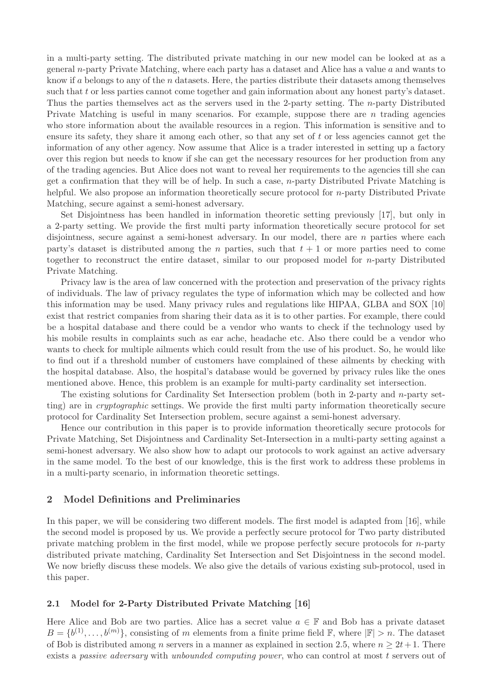in a multi-party setting. The distributed private matching in our new model can be looked at as a general n-party Private Matching, where each party has a dataset and Alice has a value  $a$  and wants to know if a belongs to any of the n datasets. Here, the parties distribute their datasets among themselves such that t or less parties cannot come together and gain information about any honest party's dataset. Thus the parties themselves act as the servers used in the 2-party setting. The n-party Distributed Private Matching is useful in many scenarios. For example, suppose there are  $n$  trading agencies who store information about the available resources in a region. This information is sensitive and to ensure its safety, they share it among each other, so that any set of  $t$  or less agencies cannot get the information of any other agency. Now assume that Alice is a trader interested in setting up a factory over this region but needs to know if she can get the necessary resources for her production from any of the trading agencies. But Alice does not want to reveal her requirements to the agencies till she can get a confirmation that they will be of help. In such a case,  $n$ -party Distributed Private Matching is helpful. We also propose an information theoretically secure protocol for *n*-party Distributed Private Matching, secure against a semi-honest adversary.

Set Disjointness has been handled in information theoretic setting previously [17], but only in a 2-party setting. We provide the first multi party information theoretically secure protocol for set disjointness, secure against a semi-honest adversary. In our model, there are  $n$  parties where each party's dataset is distributed among the n parties, such that  $t + 1$  or more parties need to come together to reconstruct the entire dataset, similar to our proposed model for n-party Distributed Private Matching.

Privacy law is the area of law concerned with the protection and preservation of the privacy rights of individuals. The law of privacy regulates the type of information which may be collected and how this information may be used. Many privacy rules and regulations like HIPAA, GLBA and SOX [10] exist that restrict companies from sharing their data as it is to other parties. For example, there could be a hospital database and there could be a vendor who wants to check if the technology used by his mobile results in complaints such as ear ache, headache etc. Also there could be a vendor who wants to check for multiple ailments which could result from the use of his product. So, he would like to find out if a threshold number of customers have complained of these ailments by checking with the hospital database. Also, the hospital's database would be governed by privacy rules like the ones mentioned above. Hence, this problem is an example for multi-party cardinality set intersection.

The existing solutions for Cardinality Set Intersection problem (both in 2-party and n-party setting) are in cryptographic settings. We provide the first multi party information theoretically secure protocol for Cardinality Set Intersection problem, secure against a semi-honest adversary.

Hence our contribution in this paper is to provide information theoretically secure protocols for Private Matching, Set Disjointness and Cardinality Set-Intersection in a multi-party setting against a semi-honest adversary. We also show how to adapt our protocols to work against an active adversary in the same model. To the best of our knowledge, this is the first work to address these problems in in a multi-party scenario, in information theoretic settings.

### 2 Model Definitions and Preliminaries

In this paper, we will be considering two different models. The first model is adapted from [16], while the second model is proposed by us. We provide a perfectly secure protocol for Two party distributed private matching problem in the first model, while we propose perfectly secure protocols for n-party distributed private matching, Cardinality Set Intersection and Set Disjointness in the second model. We now briefly discuss these models. We also give the details of various existing sub-protocol, used in this paper.

## 2.1 Model for 2-Party Distributed Private Matching [16]

Here Alice and Bob are two parties. Alice has a secret value  $a \in \mathbb{F}$  and Bob has a private dataset  $B = \{b^{(1)}, \ldots, b^{(m)}\},\$ consisting of m elements from a finite prime field  $\mathbb{F},$  where  $|\mathbb{F}| > n$ . The dataset of Bob is distributed among n servers in a manner as explained in section 2.5, where  $n \geq 2t+1$ . There exists a passive adversary with unbounded computing power, who can control at most t servers out of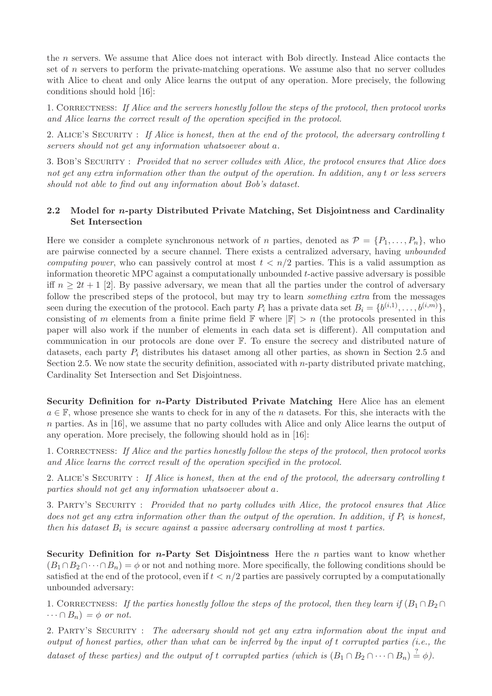the n servers. We assume that Alice does not interact with Bob directly. Instead Alice contacts the set of n servers to perform the private-matching operations. We assume also that no server colludes with Alice to cheat and only Alice learns the output of any operation. More precisely, the following conditions should hold [16]:

1. CORRECTNESS: If Alice and the servers honestly follow the steps of the protocol, then protocol works and Alice learns the correct result of the operation specified in the protocol.

2. ALICE'S SECURITY : If Alice is honest, then at the end of the protocol, the adversary controlling t servers should not get any information whatsoever about a.

3. BOB'S SECURITY : Provided that no server colludes with Alice, the protocol ensures that Alice does not get any extra information other than the output of the operation. In addition, any t or less servers should not able to find out any information about Bob's dataset.

# 2.2 Model for n-party Distributed Private Matching, Set Disjointness and Cardinality Set Intersection

Here we consider a complete synchronous network of n parties, denoted as  $\mathcal{P} = \{P_1, \ldots, P_n\}$ , who are pairwise connected by a secure channel. There exists a centralized adversary, having unbounded computing power, who can passively control at most  $t < n/2$  parties. This is a valid assumption as information theoretic MPC against a computationally unbounded  $t$ -active passive adversary is possible iff  $n \geq 2t + 1$  [2]. By passive adversary, we mean that all the parties under the control of adversary follow the prescribed steps of the protocol, but may try to learn *something extra* from the messages seen during the execution of the protocol. Each party  $P_i$  has a private data set  $B_i = \{b^{(i,1)}, \ldots, b^{(i,m)}\},$ consisting of m elements from a finite prime field  $\mathbb F$  where  $|\mathbb F| > n$  (the protocols presented in this paper will also work if the number of elements in each data set is different). All computation and communication in our protocols are done over F. To ensure the secrecy and distributed nature of datasets, each party  $P_i$  distributes his dataset among all other parties, as shown in Section 2.5 and Section 2.5. We now state the security definition, associated with n-party distributed private matching, Cardinality Set Intersection and Set Disjointness.

Security Definition for *n*-Party Distributed Private Matching Here Alice has an element  $a \in \mathbb{F}$ , whose presence she wants to check for in any of the n datasets. For this, she interacts with the n parties. As in [16], we assume that no party colludes with Alice and only Alice learns the output of any operation. More precisely, the following should hold as in [16]:

1. CORRECTNESS: If Alice and the parties honestly follow the steps of the protocol, then protocol works and Alice learns the correct result of the operation specified in the protocol.

2. ALICE'S SECURITY : If Alice is honest, then at the end of the protocol, the adversary controlling t parties should not get any information whatsoever about a.

3. Party's Security : Provided that no party colludes with Alice, the protocol ensures that Alice does not get any extra information other than the output of the operation. In addition, if  $P_i$  is honest, then his dataset  $B_i$  is secure against a passive adversary controlling at most  $t$  parties.

Security Definition for *n*-Party Set Disjointness Here the *n* parties want to know whether  $(B_1 \cap B_2 \cap \cdots \cap B_n) = \phi$  or not and nothing more. More specifically, the following conditions should be satisfied at the end of the protocol, even if  $t < n/2$  parties are passively corrupted by a computationally unbounded adversary:

1. CORRECTNESS: If the parties honestly follow the steps of the protocol, then they learn if  $(B_1 \cap B_2 \cap$  $\cdots \cap B_n$  =  $\phi$  or not.

2. PARTY'S SECURITY : The adversary should not get any extra information about the input and output of honest parties, other than what can be inferred by the input of t corrupted parties (i.e., the dataset of these parties) and the output of t corrupted parties (which is  $(B_1 \cap B_2 \cap \cdots \cap B_n) \stackrel{?}{=} \phi$ ).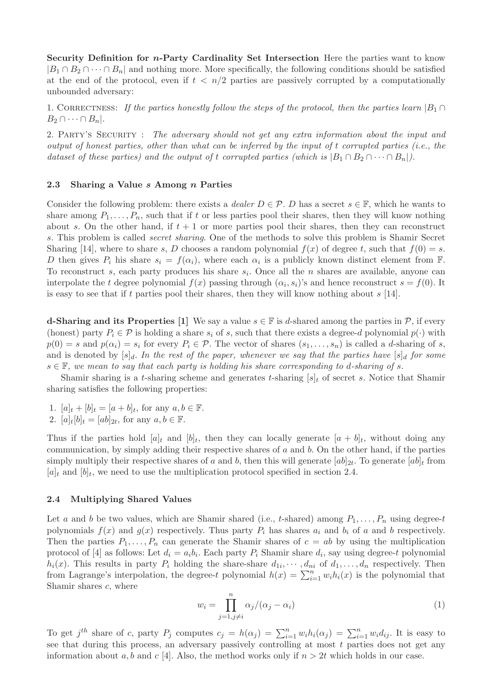Security Definition for n-Party Cardinality Set Intersection Here the parties want to know  $|B_1 \cap B_2 \cap \cdots \cap B_n|$  and nothing more. More specifically, the following conditions should be satisfied at the end of the protocol, even if  $t < n/2$  parties are passively corrupted by a computationally unbounded adversary:

1. CORRECTNESS: If the parties honestly follow the steps of the protocol, then the parties learn  $|B_1 \cap$  $B_2 \cap \cdots \cap B_n$ .

2. PARTY'S SECURITY : The adversary should not get any extra information about the input and output of honest parties, other than what can be inferred by the input of t corrupted parties (i.e., the dataset of these parties) and the output of t corrupted parties (which is  $|B_1 \cap B_2 \cap \cdots \cap B_n|$ ).

#### 2.3 Sharing a Value s Among n Parties

Consider the following problem: there exists a *dealer*  $D \in \mathcal{P}$ . D has a secret  $s \in \mathbb{F}$ , which he wants to share among  $P_1, \ldots, P_n$ , such that if t or less parties pool their shares, then they will know nothing about s. On the other hand, if  $t + 1$  or more parties pool their shares, then they can reconstruct s. This problem is called secret sharing. One of the methods to solve this problem is Shamir Secret Sharing [14], where to share s, D chooses a random polynomial  $f(x)$  of degree t, such that  $f(0) = s$ . D then gives  $P_i$  his share  $s_i = f(\alpha_i)$ , where each  $\alpha_i$  is a publicly known distinct element from F. To reconstruct s, each party produces his share  $s_i$ . Once all the n shares are available, anyone can interpolate the t degree polynomial  $f(x)$  passing through  $(\alpha_i, s_i)$ 's and hence reconstruct  $s = f(0)$ . It is easy to see that if t parties pool their shares, then they will know nothing about  $s$  [14].

**d-Sharing and its Properties** [1] We say a value  $s \in \mathbb{F}$  is d-shared among the parties in  $\mathcal{P}$ , if every (honest) party  $P_i \in \mathcal{P}$  is holding a share  $s_i$  of s, such that there exists a degree-d polynomial  $p(\cdot)$  with  $p(0) = s$  and  $p(\alpha_i) = s_i$  for every  $P_i \in \mathcal{P}$ . The vector of shares  $(s_1, \ldots, s_n)$  is called a d-sharing of s, and is denoted by  $[s]_d$ . In the rest of the paper, whenever we say that the parties have  $[s]_d$  for some  $s \in \mathbb{F}$ , we mean to say that each party is holding his share corresponding to d-sharing of s.

Shamir sharing is a t-sharing scheme and generates t-sharing  $[s]_t$  of secret s. Notice that Shamir sharing satisfies the following properties:

- 1.  $[a]_t + [b]_t = [a+b]_t$ , for any  $a, b \in \mathbb{F}$ .
- 2.  $[a]_t[b]_t = [ab]_{2t}$ , for any  $a, b \in \mathbb{F}$ .

Thus if the parties hold  $[a]_t$  and  $[b]_t$ , then they can locally generate  $[a + b]_t$ , without doing any communication, by simply adding their respective shares of  $a$  and  $b$ . On the other hand, if the parties simply multiply their respective shares of a and b, then this will generate  $[ab]_{2t}$ . To generate  $[ab]_t$  from  $[a]_t$  and  $[b]_t$ , we need to use the multiplication protocol specified in section 2.4.

#### 2.4 Multiplying Shared Values

Let a and b be two values, which are Shamir shared (i.e., t-shared) among  $P_1, \ldots, P_n$  using degree-t polynomials  $f(x)$  and  $g(x)$  respectively. Thus party  $P_i$  has shares  $a_i$  and  $b_i$  of a and b respectively. Then the parties  $P_1, \ldots, P_n$  can generate the Shamir shares of  $c = ab$  by using the multiplication protocol of [4] as follows: Let  $d_i = a_i b_i$ . Each party  $P_i$  Shamir share  $d_i$ , say using degree-t polynomial  $h_i(x)$ . This results in party  $P_i$  holding the share-share  $d_{1i}, \dots, d_{ni}$  of  $d_1, \dots, d_n$  respectively. Then from Lagrange's interpolation, the degree-t polynomial  $h(x) = \sum_{i=1}^{n} w_i h_i(x)$  is the polynomial that Shamir shares c, where

$$
w_i = \prod_{j=1, j \neq i}^{n} \alpha_j / (\alpha_j - \alpha_i)
$$
\n(1)

To get j<sup>th</sup> share of c, party  $P_j$  computes  $c_j = h(\alpha_j) = \sum_{i=1}^n w_i h_i(\alpha_j) = \sum_{i=1}^n w_i d_{ij}$ . It is easy to see that during this process, an adversary passively controlling at most  $t$  parties does not get any information about a, b and c [4]. Also, the method works only if  $n > 2t$  which holds in our case.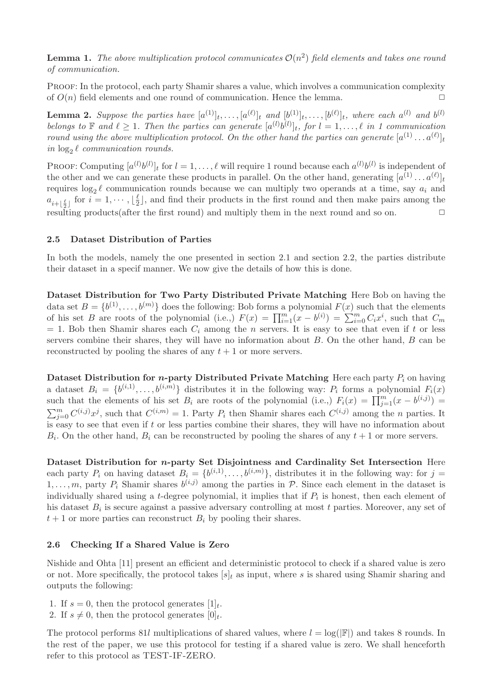**Lemma 1.** The above multiplication protocol communicates  $\mathcal{O}(n^2)$  field elements and takes one round of communication.

Proof: In the protocol, each party Shamir shares a value, which involves a communication complexity of  $O(n)$  field elements and one round of communication. Hence the lemma.

**Lemma 2.** Suppose the parties have  $[a^{(1)}]_t, \ldots, [a^{(\ell)}]_t$  and  $[b^{(1)}]_t, \ldots, [b^{(\ell)}]_t$ , where each  $a^{(l)}$  and  $b^{(l)}$ belongs to  $\mathbb F$  and  $\ell \geq 1$ . Then the parties can generate  $[a^{(l)}b^{(l)}]_t$ , for  $l = 1, \ldots, \ell$  in 1 communication round using the above multiplication protocol. On the other hand the parties can generate  $[a^{(1)} \dots a^{(\ell)}]_t$ in  $\log_2 \ell$  communication rounds.

PROOF: Computing  $[a^{(l)}b^{(l)}]_t$  for  $l = 1, ..., \ell$  will require 1 round because each  $a^{(l)}b^{(l)}$  is independent of the other and we can generate these products in parallel. On the other hand, generating  $[a^{(1)} \dots a^{(\ell)}]_t$ requires  $log_2 \ell$  communication rounds because we can multiply two operands at a time, say  $a_i$  and  $a_{i+\lfloor \frac{\ell}{2} \rfloor}$  for  $i=1,\cdots,\lfloor \frac{\ell}{2} \rfloor$ resulting products(after the first round) and multiply them in the next round and so on.  $\Box$  $\frac{\ell}{2}$ , and find their products in the first round and then make pairs among the

### 2.5 Dataset Distribution of Parties

In both the models, namely the one presented in section 2.1 and section 2.2, the parties distribute their dataset in a specif manner. We now give the details of how this is done.

Dataset Distribution for Two Party Distributed Private Matching Here Bob on having the data set  $B = \{b^{(1)}, \ldots, b^{(m)}\}$  does the following: Bob forms a polynomial  $F(x)$  such that the elements of his set B are roots of the polynomial (i.e.,)  $F(x) = \prod_{i=1}^{m} (x - b^{(i)}) = \sum_{i=0}^{m} C_i x^i$ , such that  $C_m$  $= 1.$  Bob then Shamir shares each  $C_i$  among the n servers. It is easy to see that even if t or less servers combine their shares, they will have no information about  $B$ . On the other hand,  $B$  can be reconstructed by pooling the shares of any  $t + 1$  or more servers.

Dataset Distribution for *n*-party Distributed Private Matching Here each party  $P_i$  on having a dataset  $B_i = \{b^{(i,1)}, \ldots, b^{(i,m)}\}$  distributes it in the following way:  $P_i$  forms a polynomial  $F_i(x)$ such that the elements of his set  $B_i$  are roots of the polynomial (i.e.,)  $F_i(x) = \prod_{j=1}^m (x - b^{(i,j)}) =$  $\sum_{j=0}^m C^{(i,j)}x^j$ , such that  $C^{(i,m)} = 1$ . Party  $P_i$  then Shamir shares each  $C^{(i,j)}$  among the *n* parties. It is easy to see that even if  $t$  or less parties combine their shares, they will have no information about  $B_i$ . On the other hand,  $B_i$  can be reconstructed by pooling the shares of any  $t+1$  or more servers.

Dataset Distribution for n-party Set Disjointness and Cardinality Set Intersection Here each party  $P_i$  on having dataset  $B_i = \{b^{(i,1)}, \ldots, b^{(i,m)}\}$ , distributes it in the following way: for  $j =$  $1, \ldots, m$ , party  $P_i$  Shamir shares  $b^{(i,j)}$  among the parties in  $P$ . Since each element in the dataset is individually shared using a *t*-degree polynomial, it implies that if  $P_i$  is honest, then each element of his dataset  $B_i$  is secure against a passive adversary controlling at most t parties. Moreover, any set of  $t+1$  or more parties can reconstruct  $B_i$  by pooling their shares.

#### 2.6 Checking If a Shared Value is Zero

Nishide and Ohta [11] present an efficient and deterministic protocol to check if a shared value is zero or not. More specifically, the protocol takes  $[s]_t$  as input, where s is shared using Shamir sharing and outputs the following:

- 1. If  $s = 0$ , then the protocol generates  $[1]_t$ .
- 2. If  $s \neq 0$ , then the protocol generates  $[0]_t$ .

The protocol performs 81l multiplications of shared values, where  $l = \log(|\mathbb{F}|)$  and takes 8 rounds. In the rest of the paper, we use this protocol for testing if a shared value is zero. We shall henceforth refer to this protocol as TEST-IF-ZERO.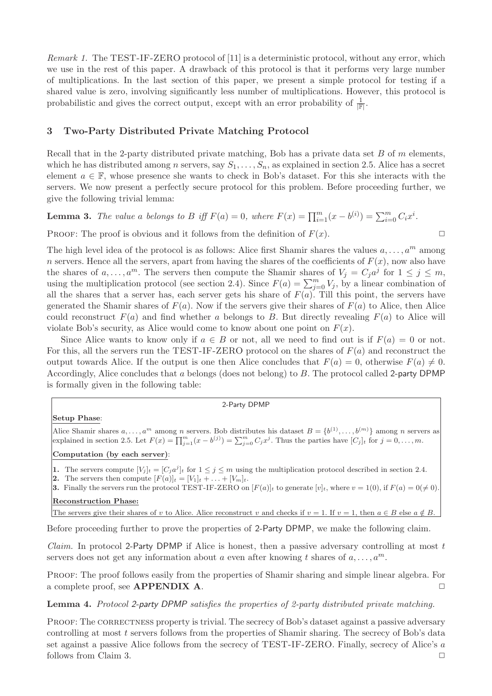Remark 1. The TEST-IF-ZERO protocol of [11] is a deterministic protocol, without any error, which we use in the rest of this paper. A drawback of this protocol is that it performs very large number of multiplications. In the last section of this paper, we present a simple protocol for testing if a shared value is zero, involving significantly less number of multiplications. However, this protocol is probabilistic and gives the correct output, except with an error probability of  $\frac{1}{\mathbb{F}}$ .

# 3 Two-Party Distributed Private Matching Protocol

Recall that in the 2-party distributed private matching, Bob has a private data set  $B$  of  $m$  elements, which he has distributed among n servers, say  $S_1, \ldots, S_n$ , as explained in section 2.5. Alice has a secret element  $a \in \mathbb{F}$ , whose presence she wants to check in Bob's dataset. For this she interacts with the servers. We now present a perfectly secure protocol for this problem. Before proceeding further, we give the following trivial lemma:

# **Lemma 3.** The value a belongs to B iff  $F(a) = 0$ , where  $F(x) = \prod_{i=1}^{m} (x - b^{(i)}) = \sum_{i=0}^{m} C_i x^i$ .

PROOF: The proof is obvious and it follows from the definition of  $F(x)$ .

The high level idea of the protocol is as follows: Alice first Shamir shares the values  $a, \ldots, a^m$  among n servers. Hence all the servers, apart from having the shares of the coefficients of  $F(x)$ , now also have the shares of  $a, \ldots, a^m$ . The servers then compute the Shamir shares of  $V_j = C_j a^j$  for  $1 \leq j \leq m$ , using the multiplication protocol (see section 2.4). Since  $F(a) = \sum_{j=0}^{m} V_j$ , by a linear combination of all the shares that a server has, each server gets his share of  $F(a)$ . Till this point, the servers have generated the Shamir shares of  $F(a)$ . Now if the servers give their shares of  $F(a)$  to Alice, then Alice could reconstruct  $F(a)$  and find whether a belongs to B. But directly revealing  $F(a)$  to Alice will violate Bob's security, as Alice would come to know about one point on  $F(x)$ .

Since Alice wants to know only if  $a \in B$  or not, all we need to find out is if  $F(a) = 0$  or not. For this, all the servers run the TEST-IF-ZERO protocol on the shares of  $F(a)$  and reconstruct the output towards Alice. If the output is one then Alice concludes that  $F(a) = 0$ , otherwise  $F(a) \neq 0$ . Accordingly, Alice concludes that a belongs (does not belong) to B. The protocol called 2-party DPMP is formally given in the following table:

### 2-Party DPMP

#### Setup Phase:

Alice Shamir shares  $a, \ldots, a^m$  among n servers. Bob distributes his dataset  $B = \{b^{(1)}, \ldots, b^{(m)}\}$  among n servers as explained in section 2.5. Let  $F(x) = \prod_{j=1}^{m} (x - b^{(j)}) = \sum_{j=0}^{m} C_j x^j$ . Thus the parties have  $[C_j]_t$  for  $j = 0, \ldots, m$ .

#### Computation (by each server):

1. The servers compute  $[V_j]_t = [C_j a^j]_t$  for  $1 \le j \le m$  using the multiplication protocol described in section 2.4.

2. The servers then compute  $[F(a)]_t = [V_1]_t + \ldots + [V_m]_t$ .

3. Finally the servers run the protocol TEST-IF-ZERO on  $[F(a)]_t$  to generate  $[v]_t$ , where  $v = 1(0)$ , if  $F(a) = 0(\neq 0)$ . Reconstruction Phase:

The servers give their shares of v to Alice. Alice reconstruct v and checks if  $v = 1$ . If  $v = 1$ , then  $a \in B$  else  $a \notin B$ .

Before proceeding further to prove the properties of 2-Party DPMP, we make the following claim.

*Claim.* In protocol 2-Party DPMP if Alice is honest, then a passive adversary controlling at most  $t$ servers does not get any information about a even after knowing t shares of  $a, \ldots, a^m$ .

Proof: The proof follows easily from the properties of Shamir sharing and simple linear algebra. For a complete proof, see  $APPENDIX A$ .

### Lemma 4. Protocol 2-party DPMP satisfies the properties of 2-party distributed private matching.

PROOF: The CORRECTNESS property is trivial. The secrecy of Bob's dataset against a passive adversary controlling at most t servers follows from the properties of Shamir sharing. The secrecy of Bob's data set against a passive Alice follows from the secrecy of TEST-IF-ZERO. Finally, secrecy of Alice's a follows from Claim 3.  $\Box$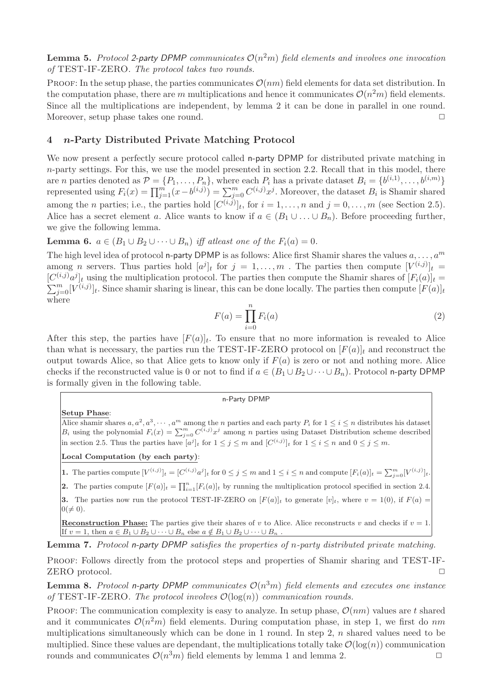**Lemma 5.** Protocol 2-party DPMP communicates  $O(n^2m)$  field elements and involves one invocation of TEST-IF-ZERO. The protocol takes two rounds.

PROOF: In the setup phase, the parties communicates  $\mathcal{O}(nm)$  field elements for data set distribution. In the computation phase, there are m multiplications and hence it communicates  $\mathcal{O}(n^2m)$  field elements. Since all the multiplications are independent, by lemma 2 it can be done in parallel in one round. Moreover, setup phase takes one round.  $\Box$ 

# 4 n-Party Distributed Private Matching Protocol

We now present a perfectly secure protocol called n-party DPMP for distributed private matching in  $n$ -party settings. For this, we use the model presented in section 2.2. Recall that in this model, there are *n* parties denoted as  $\mathcal{P} = \{P_1, \ldots, P_n\}$ , where each  $P_i$  has a private dataset  $B_i = \{b^{(i,1)}, \ldots, b^{(i,m)}\}$ represented using  $F_i(x) = \prod_{j=1}^m (x - b^{(i,j)}) = \sum_{j=0}^m C^{(i,j)} x^j$ . Moreover, the dataset  $B_i$  is Shamir shared among the *n* parties; i.e., the parties hold  $[C^{(i,j)}]_t$ , for  $i = 1, ..., n$  and  $j = 0, ..., m$  (see Section 2.5). Alice has a secret element a. Alice wants to know if  $a \in (B_1 \cup \ldots \cup B_n)$ . Before proceeding further, we give the following lemma.

**Lemma 6.**  $a \in (B_1 \cup B_2 \cup \cdots \cup B_n)$  iff at least one of the  $F_i(a) = 0$ .

The high level idea of protocol n-party DPMP is as follows: Alice first Shamir shares the values  $a, \ldots, a^m$ among *n* servers. Thus parties hold  $[a^j]_t$  for  $j = 1, \ldots, m$ . The parties then compute  $[V^{(i,j)}]_t =$  $[C^{(i,j)}a^j]_t$  using the multiplication protocol. The parties then compute the Shamir shares of  $[F_i(a)]_t =$  $\sum_{j=0}^m [V^{(i,j)}]_t$ . Since shamir sharing is linear, this can be done locally. The parties then compute  $[F(a)]_t$ where

$$
F(a) = \prod_{i=0}^{n} F_i(a)
$$
\n
$$
(2)
$$

After this step, the parties have  $[F(a)]_t$ . To ensure that no more information is revealed to Alice than what is necessary, the parties run the TEST-IF-ZERO protocol on  $[F(a)]_t$  and reconstruct the output towards Alice, so that Alice gets to know only if  $F(a)$  is zero or not and nothing more. Alice checks if the reconstructed value is 0 or not to find if  $a \in (B_1 \cup B_2 \cup \cdots \cup B_n)$ . Protocol n-party DPMP is formally given in the following table.

#### n-Party DPMP

#### Setup Phase:

Alice shamir shares  $a, a^2, a^3, \cdots, a^m$  among the *n* parties and each party  $P_i$  for  $1 \le i \le n$  distributes his dataset  $B_i$  using the polynomial  $F_i(x) = \sum_{j=0}^m C^{(i,j)} x^j$  among n parties using Dataset Distribution scheme described in section 2.5. Thus the parties have  $[a^j]_t$  for  $1 \leq j \leq m$  and  $[C^{(i,j)}]_t$  for  $1 \leq i \leq n$  and  $0 \leq j \leq m$ .

Local Computation (by each party):

**1.** The parties compute  $[V^{(i,j)}]_t = [C^{(i,j)}a^j]_t$  for  $0 \le j \le m$  and  $1 \le i \le n$  and compute  $[F_i(a)]_t = \sum_{j=0}^m [V^{(i,j)}]_t$ .

**2.** The parties compute  $[F(a)]_t = \prod_{i=1}^n [F_i(a)]_t$  by running the multiplication protocol specified in section 2.4.

3. The parties now run the protocol TEST-IF-ZERO on  $[F(a)]_t$  to generate  $[v]_t$ , where  $v = 1(0)$ , if  $F(a) =$  $0 \neq 0$ .

**Reconstruction Phase:** The parties give their shares of v to Alice. Alice reconstructs v and checks if  $v = 1$ . If  $v = 1$ , then  $a \in B_1 \cup B_2 \cup \cdots \cup B_n$  else  $a \notin B_1 \cup B_2 \cup \cdots \cup B_n$ 

Lemma 7. Protocol n-party DPMP satisfies the properties of n-party distributed private matching.

PROOF: Follows directly from the protocol steps and properties of Shamir sharing and TEST-IF-ZERO protocol. □

**Lemma 8.** Protocol n-party DPMP communicates  $\mathcal{O}(n^3m)$  field elements and executes one instance of TEST-IF-ZERO. The protocol involves  $\mathcal{O}(\log(n))$  communication rounds.

PROOF: The communication complexity is easy to analyze. In setup phase,  $\mathcal{O}(nm)$  values are t shared and it communicates  $\mathcal{O}(n^2m)$  field elements. During computation phase, in step 1, we first do nm multiplications simultaneously which can be done in 1 round. In step 2,  $n$  shared values need to be multiplied. Since these values are dependant, the multiplications totally take  $\mathcal{O}(\log(n))$  communication rounds and communicates  $\mathcal{O}(n^3m)$  field elements by lemma 1 and lemma 2.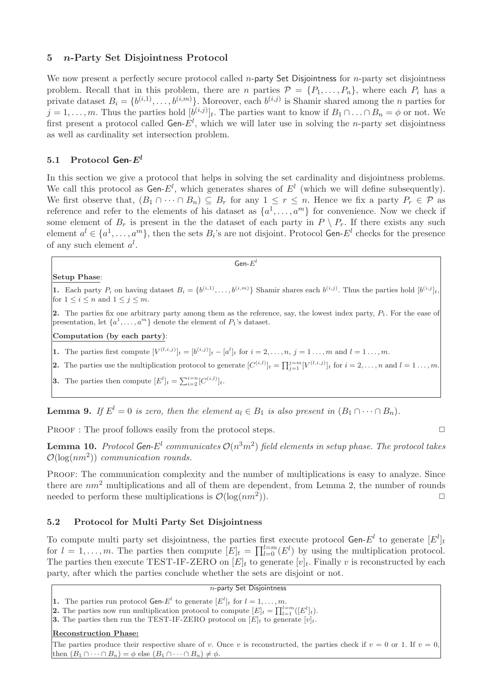# 5 n-Party Set Disjointness Protocol

We now present a perfectly secure protocol called *n*-party Set Disjointness for *n*-party set disjointness problem. Recall that in this problem, there are n parties  $\mathcal{P} = \{P_1, \ldots, P_n\}$ , where each  $P_i$  has a private dataset  $B_i = \{b^{(i,1)}, \ldots, b^{(i,m)}\}$ . Moreover, each  $b^{(i,j)}$  is Shamir shared among the *n* parties for  $j = 1, \ldots, m$ . Thus the parties hold  $[b^{(i,j)}]_t$ . The parties want to know if  $B_1 \cap \ldots \cap B_n = \phi$  or not. We first present a protocol called Gen- $E^l$ , which we will later use in solving the *n*-party set disjointness as well as cardinality set intersection problem.

# 5.1 Protocol Gen- $E^l$

In this section we give a protocol that helps in solving the set cardinality and disjointness problems. We call this protocol as  $Gen-E^l$ , which generates shares of  $E^l$  (which we will define subsequently). We first observe that,  $(B_1 \cap \cdots \cap B_n) \subseteq B_r$  for any  $1 \leq r \leq n$ . Hence we fix a party  $P_r \in \mathcal{P}$  as reference and refer to the elements of his dataset as  $\{a^1, \ldots, a^m\}$  for convenience. Now we check if some element of  $B_r$  is present in the the dataset of each party in  $P \setminus P_r$ . If there exists any such element  $a^l \in \{a^1, \ldots, a^m\}$ , then the sets  $B_i$ 's are not disjoint. Protocol Gen- $E^l$  checks for the presence of any such element  $a^l$ .

### Setup Phase:

**1.** Each party  $P_i$  on having dataset  $B_i = \{b^{(i,1)}, \ldots, b^{(i,m)}\}$  Shamir shares each  $b^{(i,j)}$ . Thus the parties hold  $[b^{(i,j)}]_t$ , for  $1 \leq i \leq n$  and  $1 \leq j \leq m$ .

 ${\sf Gen\text{-}}E^{l}$ 

2. The parties fix one arbitrary party among them as the reference, say, the lowest index party,  $P_1$ . For the ease of presentation, let  $\{a^1, \ldots, a^m\}$  denote the element of  $P_1$ 's dataset.

#### Computation (by each party):

**1.** The parties first compute  $[V^{(l,i,j)}]_t = [b^{(i,j)}]_t - [a^l]_t$  for  $i = 2, ..., n, j = 1, ..., m$  and  $l = 1, ..., m$ .

**2.** The parties use the multiplication protocol to generate  $[C^{(i,l)}]_t = \prod_{j=1}^{j=m} [V^{(l,i,j)}]_t$  for  $i = 2, \ldots, n$  and  $l = 1, \ldots, m$ .

**3.** The parties then compute  $[E^l]_t = \sum_{i=2}^{i=n} [C^{(i,l)}]_t$ .

**Lemma 9.** If  $E^l = 0$  is zero, then the element  $a_l \in B_1$  is also present in  $(B_1 \cap \cdots \cap B_n)$ .

PROOF : The proof follows easily from the protocol steps.  $\Box$ 

**Lemma 10.** Protocol Gen-E<sup>l</sup> communicates  $\mathcal{O}(n^3m^2)$  field elements in setup phase. The protocol takes  $\mathcal{O}(\log(nm^2))$  communication rounds.

PROOF: The communication complexity and the number of multiplications is easy to analyze. Since there are  $nm^2$  multiplications and all of them are dependent, from Lemma 2, the number of rounds needed to perform these multiplications is  $\mathcal{O}(\log(nm^2))$ . )).  $\Box$ 

### 5.2 Protocol for Multi Party Set Disjointness

To compute multi party set disjointness, the parties first execute protocol Gen- $E^l$  to generate  $[E^l]_t$ for  $l = 1, \ldots, m$ . The parties then compute  $[E]_t = \prod_{l=0}^{l=m} (E^l)$  by using the multiplication protocol. The parties then execute TEST-IF-ZERO on  $[E]_t$  to generate  $[v]_t$ . Finally v is reconstructed by each party, after which the parties conclude whether the sets are disjoint or not.

|  |  | $n$ -party Set Disjointness |
|--|--|-----------------------------|
|--|--|-----------------------------|

**1.** The parties run protocol **Gen**- $E^l$  to generate  $[E^l]_t$  for  $l = 1, ..., m$ .

**2.** The parties now run multiplication protocol to compute  $[E]_t = \prod_{l=1}^{l=m} ([E^l]_t)$ .

**3.** The parties then run the TEST-IF-ZERO protocol on  $[E]_t$  to generate  $[v]_t$ .

### Reconstruction Phase:

The parties produce their respective share of v. Once v is reconstructed, the parties check if  $v = 0$  or 1. If  $v = 0$ , then  $(B_1 \cap \cdots \cap B_n) = \phi$  else  $(B_1 \cap \cdots \cap B_n) \neq \phi$ .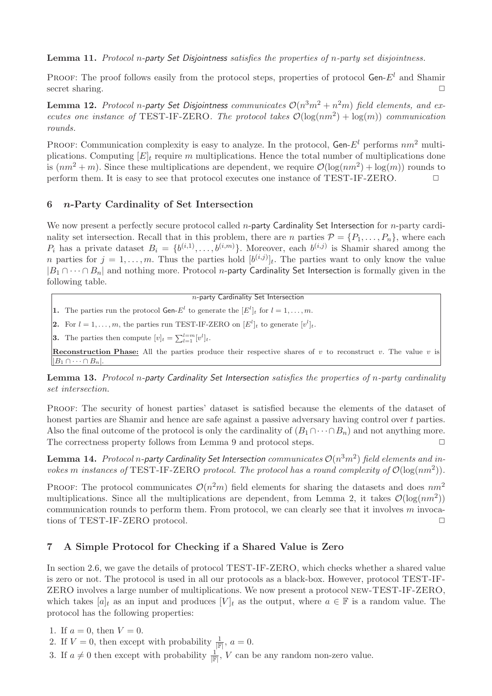Lemma 11. Protocol n-party Set Disjointness satisfies the properties of n-party set disjointness.

PROOF: The proof follows easily from the protocol steps, properties of protocol Gen- $E<sup>l</sup>$  and Shamir secret sharing.  $\Box$ 

**Lemma 12.** Protocol n-party Set Disjointness communicates  $\mathcal{O}(n^3m^2 + n^2m)$  field elements, and executes one instance of TEST-IF-ZERO. The protocol takes  $\mathcal{O}(\log(nm^2) + \log(m))$  communication rounds.

PROOF: Communication complexity is easy to analyze. In the protocol, Gen- $E^l$  performs  $nm^2$  multiplications. Computing  $[E]_t$  require m multiplications. Hence the total number of multiplications done is  $(nm^2 + m)$ . Since these multiplications are dependent, we require  $\mathcal{O}(\log(nm^2) + \log(m))$  rounds to perform them. It is easy to see that protocol executes one instance of TEST-IF-ZERO.

# 6 n-Party Cardinality of Set Intersection

We now present a perfectly secure protocol called *n*-party Cardinality Set Intersection for *n*-party cardinality set intersection. Recall that in this problem, there are n parties  $\mathcal{P} = \{P_1, \ldots, P_n\}$ , where each  $P_i$  has a private dataset  $B_i = \{b^{(i,1)}, \ldots, b^{(i,m)}\}$ . Moreover, each  $b^{(i,j)}$  is Shamir shared among the n parties for  $j = 1, \ldots, m$ . Thus the parties hold  $[b^{(i,j)}]_t$ . The parties want to only know the value  $|B_1 \cap \cdots \cap B_n|$  and nothing more. Protocol *n*-party Cardinality Set Intersection is formally given in the following table.

 $n$ -party Cardinality Set Intersection

**1.** The parties run the protocol **Gen-** $E^l$  to generate the  $[E^l]_t$  for  $l = 1, ..., m$ .

2. For  $l = 1, \ldots, m$ , the parties run TEST-IF-ZERO on  $[E^l]_t$  to generate  $[v^l]_t$ .

**3.** The parties then compute  $[v]_t = \sum_{l=1}^{l=m} [v^l]_t$ .

**Reconstruction Phase:** All the parties produce their respective shares of  $v$  to reconstruct  $v$ . The value  $v$  is  $||B_1 \cap \cdots \cap B_n||$ 

Lemma 13. Protocol n-party Cardinality Set Intersection satisfies the properties of n-party cardinality set intersection.

Proof: The security of honest parties' dataset is satisfied because the elements of the dataset of honest parties are Shamir and hence are safe against a passive adversary having control over t parties. Also the final outcome of the protocol is only the cardinality of  $(B_1 \cap \cdots \cap B_n)$  and not anything more. The correctness property follows from Lemma 9 and protocol steps.  $\Box$ 

 ${\bf Lemma}$  14.  $\it Protocol$  n-party Cardinality Set Intersection  $communicates$   ${\cal O}(n^3m^2)$  field elements and invokes m instances of TEST-IF-ZERO protocol. The protocol has a round complexity of  $\mathcal{O}(\log(nm^2))$ .

PROOF: The protocol communicates  $\mathcal{O}(n^2m)$  field elements for sharing the datasets and does  $nm^2$ multiplications. Since all the multiplications are dependent, from Lemma 2, it takes  $\mathcal{O}(\log(nm^2))$ communication rounds to perform them. From protocol, we can clearly see that it involves m invocations of TEST-IF-ZERO protocol.  $\Box$ 

# 7 A Simple Protocol for Checking if a Shared Value is Zero

In section 2.6, we gave the details of protocol TEST-IF-ZERO, which checks whether a shared value is zero or not. The protocol is used in all our protocols as a black-box. However, protocol TEST-IF-ZERO involves a large number of multiplications. We now present a protocol new-TEST-IF-ZERO, which takes  $[a]_t$  as an input and produces  $[V]_t$  as the output, where  $a \in \mathbb{F}$  is a random value. The protocol has the following properties:

1. If  $a = 0$ , then  $V = 0$ .

2. If  $V = 0$ , then except with probability  $\frac{1}{\mathbb{F}}$ ,  $a = 0$ .

3. If  $a \neq 0$  then except with probability  $\frac{1}{\mathbb{F}|}, V$  can be any random non-zero value.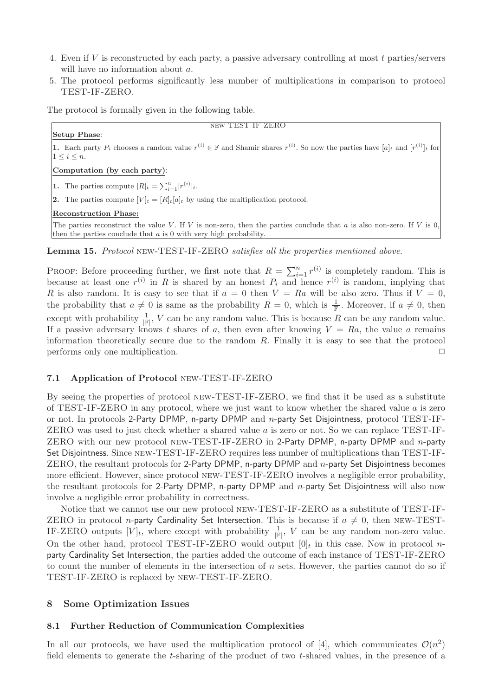- 4. Even if V is reconstructed by each party, a passive adversary controlling at most t parties/servers will have no information about a.
- 5. The protocol performs significantly less number of multiplications in comparison to protocol TEST-IF-ZERO.

The protocol is formally given in the following table.

## Setup Phase:

**1.** Each party  $P_i$  chooses a random value  $r^{(i)} \in \mathbb{F}$  and Shamir shares  $r^{(i)}$ . So now the parties have  $[a]_t$  and  $[r^{(i)}]_t$  for  $1 \leq i \leq n$ .

new-TEST-IF-ZERO

Computation (by each party):

**1.** The parties compute  $[R]_t = \sum_{i=1}^n [r^{(i)}]_t$ .

2. The parties compute  $[V]_t = [R]_t[a]_t$  by using the multiplication protocol.

### Reconstruction Phase:

The parties reconstruct the value V. If V is non-zero, then the parties conclude that a is also non-zero. If V is 0, then the parties conclude that a is 0 with very high probability.

Lemma 15. Protocol new-TEST-IF-ZERO satisfies all the properties mentioned above.

**PROOF:** Before proceeding further, we first note that  $R = \sum_{i=1}^{n} r^{(i)}$  is completely random. This is because at least one  $r^{(i)}$  in R is shared by an honest  $P_i$  and hence  $r^{(i)}$  is random, implying that R is also random. It is easy to see that if  $a = 0$  then  $V = Ra$  will be also zero. Thus if  $V = 0$ , the probability that  $a \neq 0$  is same as the probability  $R = 0$ , which is  $\frac{1}{\mathbb{F}}$ . Moreover, if  $a \neq 0$ , then except with probability  $\frac{1}{\mathbb{F}}$ , V can be any random value. This is because R can be any random value. If a passive adversary knows t shares of a, then even after knowing  $V = Ra$ , the value a remains information theoretically secure due to the random  $R$ . Finally it is easy to see that the protocol performs only one multiplication.  $\Box$ 

# 7.1 Application of Protocol new-TEST-IF-ZERO

By seeing the properties of protocol new-TEST-IF-ZERO, we find that it be used as a substitute of TEST-IF-ZERO in any protocol, where we just want to know whether the shared value  $\alpha$  is zero or not. In protocols 2-Party DPMP, n-party DPMP and n-party Set Disjointness, protocol TEST-IF-ZERO was used to just check whether a shared value a is zero or not. So we can replace TEST-IF-ZERO with our new protocol new-TEST-IF-ZERO in 2-Party DPMP, n-party DPMP and n-party Set Disjointness. Since new-TEST-IF-ZERO requires less number of multiplications than TEST-IF-ZERO, the resultant protocols for 2-Party DPMP, n-party DPMP and  $n$ -party Set Disjointness becomes more efficient. However, since protocol new-TEST-IF-ZERO involves a negligible error probability, the resultant protocols for 2-Party DPMP, n-party DPMP and  $n$ -party Set Disjointness will also now involve a negligible error probability in correctness.

Notice that we cannot use our new protocol new-TEST-IF-ZERO as a substitute of TEST-IF-ZERO in protocol *n*-party Cardinality Set Intersection. This is because if  $a \neq 0$ , then NEW-TEST-IF-ZERO outputs  $[V]_t$ , where except with probability  $\frac{1}{\mathbb{F}}$ , V can be any random non-zero value. On the other hand, protocol TEST-IF-ZERO would output  $[0]_t$  in this case. Now in protocol nparty Cardinality Set Intersection, the parties added the outcome of each instance of TEST-IF-ZERO to count the number of elements in the intersection of  $n$  sets. However, the parties cannot do so if TEST-IF-ZERO is replaced by new-TEST-IF-ZERO.

# 8 Some Optimization Issues

### 8.1 Further Reduction of Communication Complexities

In all our protocols, we have used the multiplication protocol of [4], which communicates  $\mathcal{O}(n^2)$ field elements to generate the t-sharing of the product of two t-shared values, in the presence of a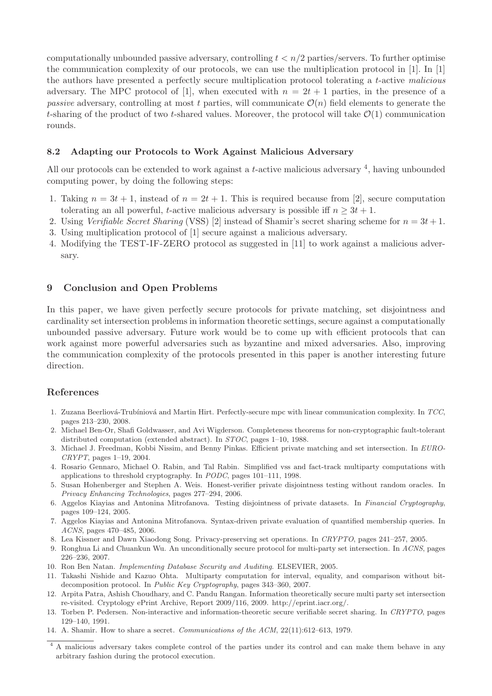computationally unbounded passive adversary, controlling  $t < n/2$  parties/servers. To further optimise the communication complexity of our protocols, we can use the multiplication protocol in [1]. In [1] the authors have presented a perfectly secure multiplication protocol tolerating a t-active malicious adversary. The MPC protocol of [1], when executed with  $n = 2t + 1$  parties, in the presence of a passive adversary, controlling at most t parties, will communicate  $\mathcal{O}(n)$  field elements to generate the t-sharing of the product of two t-shared values. Moreover, the protocol will take  $\mathcal{O}(1)$  communication rounds.

### 8.2 Adapting our Protocols to Work Against Malicious Adversary

All our protocols can be extended to work against a *t*-active malicious adversary  $\frac{4}{7}$ , having unbounded computing power, by doing the following steps:

- 1. Taking  $n = 3t + 1$ , instead of  $n = 2t + 1$ . This is required because from [2], secure computation tolerating an all powerful, t-active malicious adversary is possible iff  $n \geq 3t + 1$ .
- 2. Using Verifiable Secret Sharing (VSS) [2] instead of Shamir's secret sharing scheme for  $n = 3t + 1$ .
- 3. Using multiplication protocol of [1] secure against a malicious adversary.
- 4. Modifying the TEST-IF-ZERO protocol as suggested in [11] to work against a malicious adversary.

# 9 Conclusion and Open Problems

In this paper, we have given perfectly secure protocols for private matching, set disjointness and cardinality set intersection problems in information theoretic settings, secure against a computationally unbounded passive adversary. Future work would be to come up with efficient protocols that can work against more powerful adversaries such as byzantine and mixed adversaries. Also, improving the communication complexity of the protocols presented in this paper is another interesting future direction.

### References

- 1. Zuzana Beerliová-Trubíniová and Martin Hirt. Perfectly-secure mpc with linear communication complexity. In TCC, pages 213–230, 2008.
- 2. Michael Ben-Or, Shafi Goldwasser, and Avi Wigderson. Completeness theorems for non-cryptographic fault-tolerant distributed computation (extended abstract). In STOC, pages 1–10, 1988.
- 3. Michael J. Freedman, Kobbi Nissim, and Benny Pinkas. Efficient private matching and set intersection. In EURO-CRYPT, pages 1–19, 2004.
- 4. Rosario Gennaro, Michael O. Rabin, and Tal Rabin. Simplified vss and fact-track multiparty computations with applications to threshold cryptography. In PODC, pages 101–111, 1998.
- 5. Susan Hohenberger and Stephen A. Weis. Honest-verifier private disjointness testing without random oracles. In Privacy Enhancing Technologies, pages 277–294, 2006.
- 6. Aggelos Kiayias and Antonina Mitrofanova. Testing disjointness of private datasets. In Financial Cryptography, pages 109–124, 2005.
- 7. Aggelos Kiayias and Antonina Mitrofanova. Syntax-driven private evaluation of quantified membership queries. In ACNS, pages 470–485, 2006.
- 8. Lea Kissner and Dawn Xiaodong Song. Privacy-preserving set operations. In CRYPTO, pages 241–257, 2005.
- 9. Ronghua Li and Chuankun Wu. An unconditionally secure protocol for multi-party set intersection. In ACNS, pages 226–236, 2007.
- 10. Ron Ben Natan. Implementing Database Security and Auditing. ELSEVIER, 2005.
- 11. Takashi Nishide and Kazuo Ohta. Multiparty computation for interval, equality, and comparison without bitdecomposition protocol. In Public Key Cryptography, pages 343–360, 2007.
- 12. Arpita Patra, Ashish Choudhary, and C. Pandu Rangan. Information theoretically secure multi party set intersection re-visited. Cryptology ePrint Archive, Report 2009/116, 2009. http://eprint.iacr.org/.
- 13. Torben P. Pedersen. Non-interactive and information-theoretic secure verifiable secret sharing. In CRYPTO, pages 129–140, 1991.
- 14. A. Shamir. How to share a secret. Communications of the ACM, 22(11):612–613, 1979.

<sup>&</sup>lt;sup>4</sup> A malicious adversary takes complete control of the parties under its control and can make them behave in any arbitrary fashion during the protocol execution.